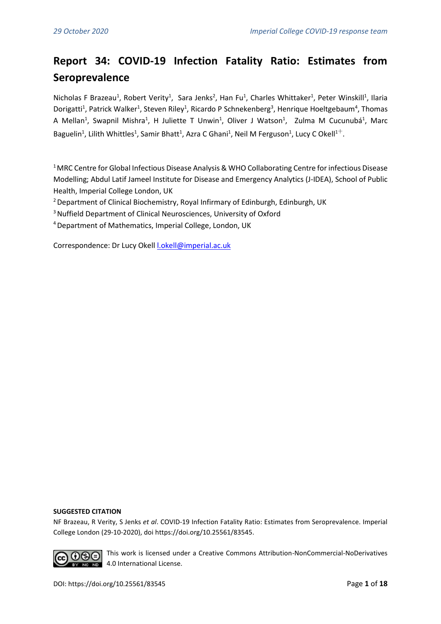# **Report 34: COVID-19 Infection Fatality Ratio: Estimates from Seroprevalence**

Nicholas F Brazeau<sup>1</sup>, Robert Verity<sup>1</sup>, Sara Jenks<sup>2</sup>, Han Fu<sup>1</sup>, Charles Whittaker<sup>1</sup>, Peter Winskill<sup>1</sup>, Ilaria Dorigatti<sup>1</sup>, Patrick Walker<sup>1</sup>, Steven Riley<sup>1</sup>, Ricardo P Schnekenberg<sup>3</sup>, Henrique Hoeltgebaum<sup>4</sup>, Thomas A Mellan<sup>1</sup>, Swapnil Mishra<sup>1</sup>, H Juliette T Unwin<sup>1</sup>, Oliver J Watson<sup>1</sup>, Zulma M Cucunubá<sup>1</sup>, Marc Baguelin<sup>1</sup>, Lilith Whittles<sup>1</sup>, Samir Bhatt<sup>1</sup>, Azra C Ghani<sup>1</sup>, Neil M Ferguson<sup>1</sup>, Lucy C Okell<sup>1+</sup>.

<sup>1</sup> MRC Centre for Global Infectious Disease Analysis & WHO Collaborating Centre for infectious Disease Modelling; Abdul Latif Jameel Institute for Disease and Emergency Analytics (J-IDEA), School of Public Health, Imperial College London, UK

<sup>2</sup> Department of Clinical Biochemistry, Royal Infirmary of Edinburgh, Edinburgh, UK

<sup>3</sup> Nuffield Department of Clinical Neurosciences, University of Oxford

<sup>4</sup>Department of Mathematics, Imperial College, London, UK

Correspondence: Dr Lucy Okell [l.okell@imperial.ac.uk](mailto:l.okell@imperial.ac.uk)

#### **SUGGESTED CITATION**

NF Brazeau, R Verity, S Jenks *et al*. COVID-19 Infection Fatality Ratio: Estimates from Seroprevalence. Imperial College London (29-10-2020), doi https://doi.org/10.25561/83545.



This work is licensed under a Creative Commons Attribution-NonCommercial-NoDerivatives **RID** 4.0 International License.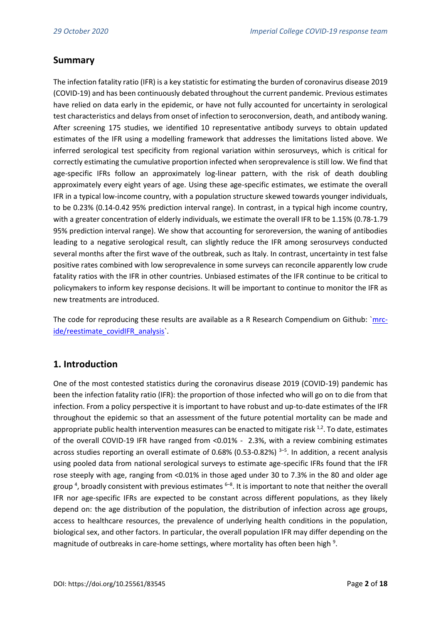# **Summary**

The infection fatality ratio (IFR) is a key statistic for estimating the burden of coronavirus disease 2019 (COVID-19) and has been continuously debated throughout the current pandemic. Previous estimates have relied on data early in the epidemic, or have not fully accounted for uncertainty in serological test characteristics and delays from onset of infection to seroconversion, death, and antibody waning. After screening 175 studies, we identified 10 representative antibody surveys to obtain updated estimates of the IFR using a modelling framework that addresses the limitations listed above. We inferred serological test specificity from regional variation within serosurveys, which is critical for correctly estimating the cumulative proportion infected when seroprevalence is still low. We find that age-specific IFRs follow an approximately log-linear pattern, with the risk of death doubling approximately every eight years of age. Using these age-specific estimates, we estimate the overall IFR in a typical low-income country, with a population structure skewed towards younger individuals, to be 0.23% (0.14-0.42 95% prediction interval range). In contrast, in a typical high income country, with a greater concentration of elderly individuals, we estimate the overall IFR to be 1.15% (0.78-1.79 95% prediction interval range). We show that accounting for seroreversion, the waning of antibodies leading to a negative serological result, can slightly reduce the IFR among serosurveys conducted several months after the first wave of the outbreak, such as Italy. In contrast, uncertainty in test false positive rates combined with low seroprevalence in some surveys can reconcile apparently low crude fatality ratios with the IFR in other countries. Unbiased estimates of the IFR continue to be critical to policymakers to inform key response decisions. It will be important to continue to monitor the IFR as new treatments are introduced.

The code for reproducing these results are available as a R Research Compendium on Github: [`mrc](https://github.com/mrc-ide/reestimate_covidIFR_analysis)[ide/reestimate\\_covidIFR\\_analysis`](https://github.com/mrc-ide/reestimate_covidIFR_analysis).

# **1. Introduction**

One of the most contested statistics during the coronavirus disease 2019 (COVID-19) pandemic has been the infection fatality ratio (IFR): the proportion of those infected who will go on to die from that infection. From a policy perspective it is important to have robust and up-to-date estimates of the IFR throughout the epidemic so that an assessment of the future potential mortality can be made and appropriate public health intervention measures can be enacted to mitigate risk  $^{1,2}$  $^{1,2}$  $^{1,2}$ . To date, estimates of the overall COVID-19 IFR have ranged from <0.01% - 2.3%, with a review combining estimates across studies reporting an overall estimate of 0.68% (0.5[3](https://paperpile.com/c/t3fxW3/DTOY+WERg+8R0A)-0.82%) <sup>3-5</sup>. In addition, a recent analysis using pooled data from national serological surveys to estimate age-specific IFRs found that the IFR rose steeply with age, ranging from <0.01% in those aged under 30 to 7.3% in the 80 and older age group<sup>4</sup>[,](https://paperpile.com/c/t3fxW3/WERg) broadly consistent with previou[s](https://paperpile.com/c/t3fxW3/ed0M+QxuX+z64L) estimates <sup>6–8</sup>. It is important to note that neither the overall IFR nor age-specific IFRs are expected to be constant across different populations, as they likely depend on: the age distribution of the population, the distribution of infection across age groups, access to healthcare resources, the prevalence of underlying health conditions in the population, biological sex, and other factors. In particular, the overall population IFR may differ depending on the magnitudeof outbreaks in care-home settings, where mortality has often been high<sup>9</sup>.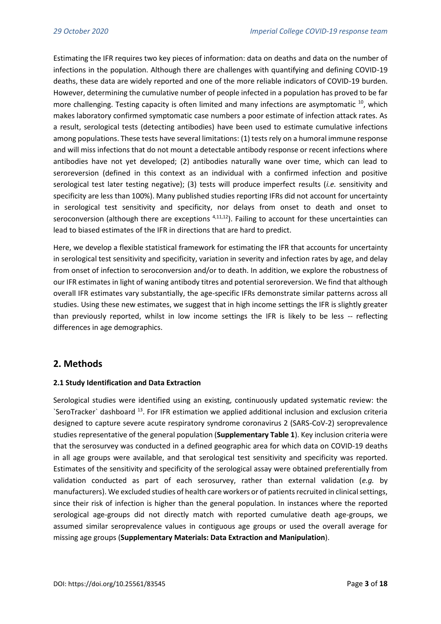Estimating the IFR requires two key pieces of information: data on deaths and data on the number of infections in the population. Although there are challenges with quantifying and defining COVID-19 deaths, these data are widely reported and one of the more reliable indicators of COVID-19 burden. However, determining the cumulative number of people infected in a population has proved to be far more challenging. Testing capacity is often limited and many infections are asymptomatic <sup>[10](https://paperpile.com/c/t3fxW3/7jFl)</sup>, which makes laboratory confirmed symptomatic case numbers a poor estimate of infection attack rates. As a result, serological tests (detecting antibodies) have been used to estimate cumulative infections among populations. These tests have several limitations: (1) tests rely on a humoral immune response and will miss infections that do not mount a detectable antibody response or recent infections where antibodies have not yet developed; (2) antibodies naturally wane over time, which can lead to seroreversion (defined in this context as an individual with a confirmed infection and positive serological test later testing negative); (3) tests will produce imperfect results (*i.e.* sensitivity and specificity are less than 100%). Many published studies reporting IFRs did not account for uncertainty in serological test sensitivity and specificity, nor delays from onset to death and onset to seroconversion (although there are exceptions  $4,11,12$ ). Failing to account for these uncertainties can lead to biased estimates of the IFR in directions that are hard to predict.

Here, we develop a flexible statistical framework for estimating the IFR that accounts for uncertainty in serological test sensitivity and specificity, variation in severity and infection rates by age, and delay from onset of infection to seroconversion and/or to death. In addition, we explore the robustness of our IFR estimates in light of waning antibody titres and potential seroreversion. We find that although overall IFR estimates vary substantially, the age-specific IFRs demonstrate similar patterns across all studies. Using these new estimates, we suggest that in high income settings the IFR is slightly greater than previously reported, whilst in low income settings the IFR is likely to be less -- reflecting differences in age demographics.

### **2. Methods**

#### **2.1 Study Identification and Data Extraction**

Serological studies were identified using an existing, continuously updated systematic review: the  $\text{SeroTracker}$  dashboard  $^{13}$  $^{13}$  $^{13}$ . For IFR estimation we applied additional inclusion and exclusion criteria designed to capture severe acute respiratory syndrome coronavirus 2 (SARS-CoV-2) seroprevalence studies representative of the general population (**Supplementary Table 1**). Key inclusion criteria were that the serosurvey was conducted in a defined geographic area for which data on COVID-19 deaths in all age groups were available, and that serological test sensitivity and specificity was reported. Estimates of the sensitivity and specificity of the serological assay were obtained preferentially from validation conducted as part of each serosurvey, rather than external validation (*e.g.* by manufacturers). We excluded studies of health care workers or of patients recruited in clinical settings, since their risk of infection is higher than the general population. In instances where the reported serological age-groups did not directly match with reported cumulative death age-groups, we assumed similar seroprevalence values in contiguous age groups or used the overall average for missing age groups (**Supplementary Materials: Data Extraction and Manipulation**).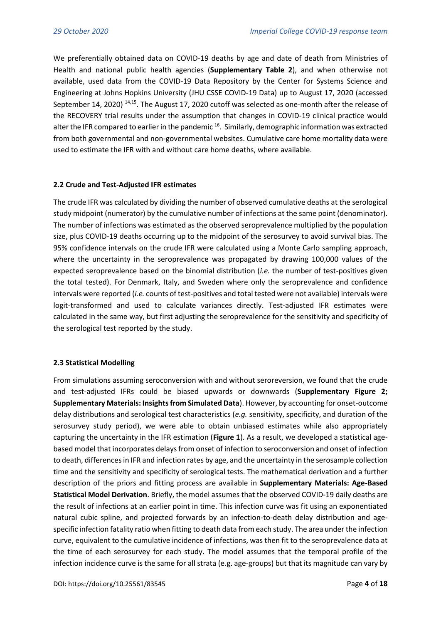We preferentially obtained data on COVID-19 deaths by age and date of death from Ministries of Health and national public health agencies (**Supplementary Table 2**), and when otherwise not available, used data from the COVID-19 Data Repository by the Center for Systems Science and Engineering at Johns Hopkins University (JHU CSSE COVID-19 Data) up to August 17, 2020 (accessed September 14, 2020)<sup>[14,15](https://paperpile.com/c/t3fxW3/qImp+4XEL)</sup>. The August 17, 2020 cutoff was selected as one-month after the release of the RECOVERY trial results under the assumption that changes in COVID-19 clinical practice would alter the IFR compared to earlier in the pandemic  $^{16}$  $^{16}$  $^{16}$ . Similarly, demographic information was extracted from both governmental and non-governmental websites. Cumulative care home mortality data were used to estimate the IFR with and without care home deaths, where available.

#### **2.2 Crude and Test-Adjusted IFR estimates**

The crude IFR was calculated by dividing the number of observed cumulative deaths at the serological study midpoint (numerator) by the cumulative number of infections at the same point (denominator). The number of infections was estimated as the observed seroprevalence multiplied by the population size, plus COVID-19 deaths occurring up to the midpoint of the serosurvey to avoid survival bias. The 95% confidence intervals on the crude IFR were calculated using a Monte Carlo sampling approach, where the uncertainty in the seroprevalence was propagated by drawing 100,000 values of the expected seroprevalence based on the binomial distribution (*i.e.* the number of test-positives given the total tested). For Denmark, Italy, and Sweden where only the seroprevalence and confidence intervals were reported (*i.e.* counts of test-positives and total tested were not available) intervals were logit-transformed and used to calculate variances directly. Test-adjusted IFR estimates were calculated in the same way, but first adjusting the seroprevalence for the sensitivity and specificity of the serological test reported by the study.

#### **2.3 Statistical Modelling**

From simulations assuming seroconversion with and without seroreversion, we found that the crude and test-adjusted IFRs could be biased upwards or downwards (**Supplementary Figure 2; Supplementary Materials: Insights from Simulated Data**). However, by accounting for onset-outcome delay distributions and serological test characteristics (*e.g.* sensitivity, specificity, and duration of the serosurvey study period), we were able to obtain unbiased estimates while also appropriately capturing the uncertainty in the IFR estimation (**Figure 1**). As a result, we developed a statistical agebased model that incorporates delays from onset of infection to seroconversion and onset of infection to death, differences in IFR and infection rates by age, and the uncertainty in the serosample collection time and the sensitivity and specificity of serological tests. The mathematical derivation and a further description of the priors and fitting process are available in **Supplementary Materials: Age-Based Statistical Model Derivation**. Briefly, the model assumes that the observed COVID-19 daily deaths are the result of infections at an earlier point in time. This infection curve was fit using an exponentiated natural cubic spline, and projected forwards by an infection-to-death delay distribution and agespecific infection fatality ratio when fitting to death data from each study. The area under the infection curve, equivalent to the cumulative incidence of infections, was then fit to the seroprevalence data at the time of each serosurvey for each study. The model assumes that the temporal profile of the infection incidence curve is the same for all strata (e.g. age-groups) but that its magnitude can vary by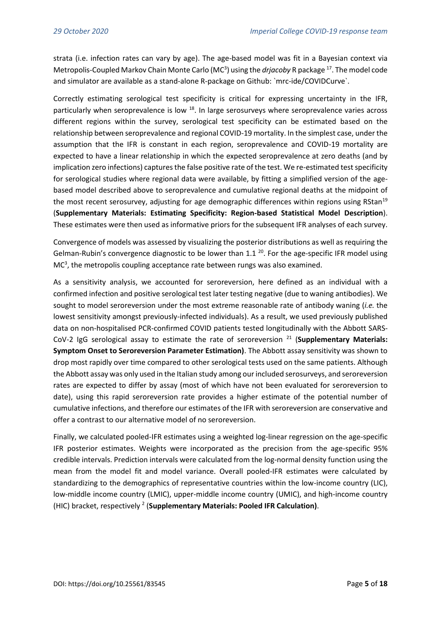strata (i.e. infection rates can vary by age). The age-based model was fit in a Bayesian context via Metropolis-Coupled Markov Chain Monte Carlo (MC<sup>3</sup>) using the *drjacoby* R package <sup>[17](https://paperpile.com/c/t3fxW3/WarN)</sup>. The model code and simulator are available as a stand-alone R-package on Github: `mrc-ide/COVIDCurve`.

Correctly estimating serological test specificity is critical for expressing uncertainty in the IFR, particularly when seroprevalence is low <sup>[18](https://paperpile.com/c/t3fxW3/Qpdz)</sup>. In large serosurveys where seroprevalence varies across different regions within the survey, serological test specificity can be estimated based on the relationship between seroprevalence and regional COVID-19 mortality. In the simplest case, under the assumption that the IFR is constant in each region, seroprevalence and COVID-19 mortality are expected to have a linear relationship in which the expected seroprevalence at zero deaths (and by implication zero infections) captures the false positive rate of the test. We re-estimated test specificity for serological studies where regional data were available, by fitting a simplified version of the agebased model described above to seroprevalence and cumulative regional deaths at the midpoint of the most recent serosurvey, adjusting for age demographic differences within regions using RStan<sup>[19](https://paperpile.com/c/t3fxW3/7pWz)</sup> (**Supplementary Materials: Estimating Specificity: Region-based Statistical Model Description**). These estimates were then used as informative priors for the subsequent IFR analyses of each survey.

Convergence of models was assessed by visualizing the posterior distributions as well as requiring the Gelman-Rubin's convergence diagnostic to be lower than 1.1  $^{20}$  $^{20}$  $^{20}$ . For the age-specific IFR model using MC<sup>3</sup>, the metropolis coupling acceptance rate between rungs was also examined.

As a sensitivity analysis, we accounted for seroreversion, here defined as an individual with a confirmed infection and positive serological test later testing negative (due to waning antibodies). We sought to model seroreversion under the most extreme reasonable rate of antibody waning (*i.e.* the lowest sensitivity amongst previously-infected individuals). As a result, we used previously published data on non-hospitalised PCR-confirmed COVID patients tested longitudinally with the Abbott SARS-CoV-2 IgG serological assay to estimate the rate of seroreversion [21](https://paperpile.com/c/t3fxW3/TtDB) (**Supplementary Materials: Symptom Onset to Seroreversion Parameter Estimation)**. The Abbott assay sensitivity was shown to drop most rapidly over time compared to other serological tests used on the same patients. Although the Abbott assay was only used in the Italian study among our included serosurveys, and seroreversion rates are expected to differ by assay (most of which have not been evaluated for seroreversion to date), using this rapid seroreversion rate provides a higher estimate of the potential number of cumulative infections, and therefore our estimates of the IFR with seroreversion are conservative and offer a contrast to our alternative model of no seroreversion.

Finally, we calculated pooled-IFR estimates using a weighted log-linear regression on the age-specific IFR posterior estimates. Weights were incorporated as the precision from the age-specific 95% credible intervals. Prediction intervals were calculated from the log-normal density function using the mean from the model fit and model variance. Overall pooled-IFR estimates were calculated by standardizing to the demographics of representative countries within the low-income country (LIC), low-middle income country (LMIC), upper-middle income country (UMIC), and high-income country (HIC) bracket, respectivel[y](https://paperpile.com/c/t3fxW3/ugVl) <sup>2</sup> (**Supplementary Materials: Pooled IFR Calculation)**.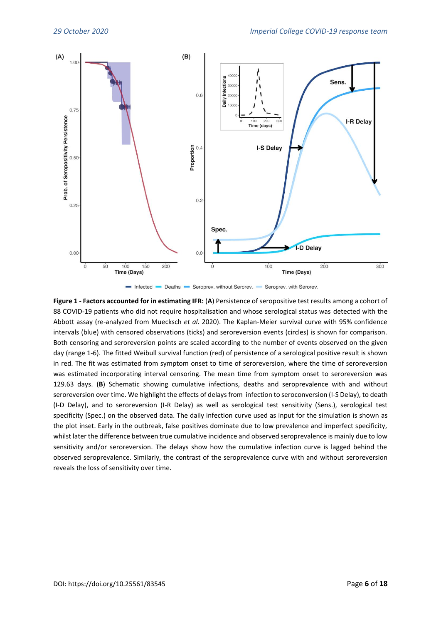



**Figure 1 - Factors accounted for in estimating IFR:** (**A**) Persistence of seropositive test results among a cohort of 88 COVID-19 patients who did not require hospitalisation and whose serological status was detected with the Abbott assay (re-analyzed from Muecksch *et al.* 2020). The Kaplan-Meier survival curve with 95% confidence intervals (blue) with censored observations (ticks) and seroreversion events (circles) is shown for comparison. Both censoring and seroreversion points are scaled according to the number of events observed on the given day (range 1-6). The fitted Weibull survival function (red) of persistence of a serological positive result is shown in red. The fit was estimated from symptom onset to time of seroreversion, where the time of seroreversion was estimated incorporating interval censoring. The mean time from symptom onset to seroreversion was 129.63 days. (**B**) Schematic showing cumulative infections, deaths and seroprevalence with and without seroreversion over time. We highlight the effects of delays from infection to seroconversion (I-S Delay), to death (I-D Delay), and to seroreversion (I-R Delay) as well as serological test sensitivity (Sens.), serological test specificity (Spec.) on the observed data. The daily infection curve used as input for the simulation is shown as the plot inset. Early in the outbreak, false positives dominate due to low prevalence and imperfect specificity, whilst later the difference between true cumulative incidence and observed seroprevalence is mainly due to low sensitivity and/or seroreversion. The delays show how the cumulative infection curve is lagged behind the observed seroprevalence. Similarly, the contrast of the seroprevalence curve with and without seroreversion reveals the loss of sensitivity over time.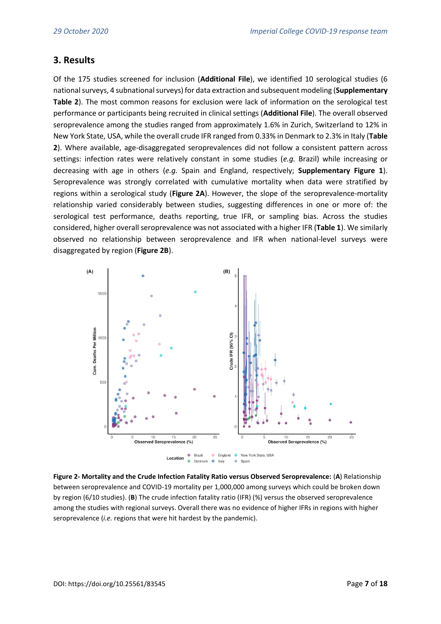### **3. Results**

Of the 175 studies screened for inclusion (**Additional File**), we identified 10 serological studies (6 national surveys, 4 subnational surveys) for data extraction and subsequent modeling (**Supplementary Table 2**). The most common reasons for exclusion were lack of information on the serological test performance or participants being recruited in clinical settings (**Additional File**). The overall observed seroprevalence among the studies ranged from approximately 1.6% in Zurich, Switzerland to 12% in New York State, USA, while the overall crude IFR ranged from 0.33% in Denmark to 2.3% in Italy (**Table 2**). Where available, age-disaggregated seroprevalences did not follow a consistent pattern across settings: infection rates were relatively constant in some studies (*e.g.* Brazil) while increasing or decreasing with age in others (*e.g.* Spain and England, respectively; **Supplementary Figure 1**). Seroprevalence was strongly correlated with cumulative mortality when data were stratified by regions within a serological study (**Figure 2A**). However, the slope of the seroprevalence-mortality relationship varied considerably between studies, suggesting differences in one or more of: the serological test performance, deaths reporting, true IFR, or sampling bias. Across the studies considered, higher overall seroprevalence was not associated with a higher IFR (**Table 1**). We similarly observed no relationship between seroprevalence and IFR when national-level surveys were disaggregated by region (**Figure 2B**).



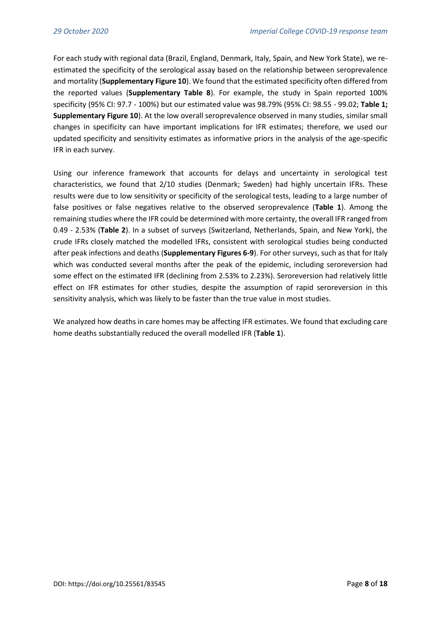For each study with regional data (Brazil, England, Denmark, Italy, Spain, and New York State), we reestimated the specificity of the serological assay based on the relationship between seroprevalence and mortality (**Supplementary Figure 10**). We found that the estimated specificity often differed from the reported values (**Supplementary Table 8**). For example, the study in Spain reported 100% specificity (95% CI: 97.7 - 100%) but our estimated value was 98.79% (95% CI: 98.55 - 99.02; **Table 1; Supplementary Figure 10**). At the low overall seroprevalence observed in many studies, similar small changes in specificity can have important implications for IFR estimates; therefore, we used our updated specificity and sensitivity estimates as informative priors in the analysis of the age-specific IFR in each survey.

Using our inference framework that accounts for delays and uncertainty in serological test characteristics, we found that 2/10 studies (Denmark; Sweden) had highly uncertain IFRs. These results were due to low sensitivity or specificity of the serological tests, leading to a large number of false positives or false negatives relative to the observed seroprevalence (**Table 1**). Among the remaining studies where the IFR could be determined with more certainty, the overall IFR ranged from 0.49 - 2.53% (**Table 2**). In a subset of surveys (Switzerland, Netherlands, Spain, and New York), the crude IFRs closely matched the modelled IFRs, consistent with serological studies being conducted after peak infections and deaths (**Supplementary Figures 6-9**). For other surveys, such as that for Italy which was conducted several months after the peak of the epidemic, including seroreversion had some effect on the estimated IFR (declining from 2.53% to 2.23%). Seroreversion had relatively little effect on IFR estimates for other studies, despite the assumption of rapid seroreversion in this sensitivity analysis, which was likely to be faster than the true value in most studies.

We analyzed how deaths in care homes may be affecting IFR estimates. We found that excluding care home deaths substantially reduced the overall modelled IFR (**Table 1**).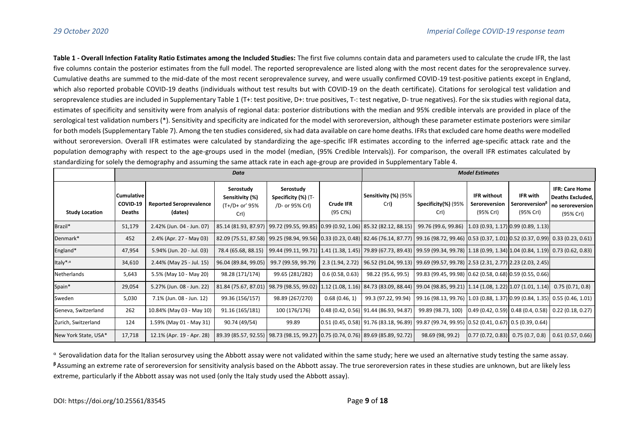**Table 1 - Overall Infection Fatality Ratio Estimates among the Included Studies:** The first five columns contain data and parameters used to calculate the crude IFR, the last five columns contain the posterior estimates from the full model. The reported seroprevalence are listed along with the most recent dates for the seroprevalence survey. Cumulative deaths are summed to the mid-date of the most recent seroprevalence survey, and were usually confirmed COVID-19 test-positive patients except in England, which also reported probable COVID-19 deaths (individuals without test results but with COVID-19 on the death certificate). Citations for serological test validation and seroprevalence studies are included in Supplementary Table 1 (T+: test positive, D+: true positives, T-: test negative, D- true negatives). For the six studies with regional data, estimates of specificity and sensitivity were from analysis of regional data: posterior distributions with the median and 95% credible intervals are provided in place of the serological test validation numbers (\*). Sensitivity and specificity are indicated for the model with seroreversion, although these parameter estimate posteriors were similar for both models (Supplementary Table 7). Among the ten studies considered, six had data available on care home deaths. IFRs that excluded care home deaths were modelled without seroreversion. Overall IFR estimates were calculated by standardizing the age-specific IFR estimates according to the inferred age-specific attack rate and the population demography with respect to the age-groups used in the model (median, (95% Credible Intervals)). For comparison, the overall IFR estimates calculated by standardizing for solely the demography and assuming the same attack rate in each age-group are provided in Supplementary Table 4.

|                       | <b>Data</b>                      |                                           |                                                        |                                                     |                       | <b>Model Estimates</b>                                                                                                                                      |                                                                                                        |                                                  |                                                           |                                                                                   |
|-----------------------|----------------------------------|-------------------------------------------|--------------------------------------------------------|-----------------------------------------------------|-----------------------|-------------------------------------------------------------------------------------------------------------------------------------------------------------|--------------------------------------------------------------------------------------------------------|--------------------------------------------------|-----------------------------------------------------------|-----------------------------------------------------------------------------------|
| <b>Study Location</b> | Cumulative<br>COVID-19<br>Deaths | <b>Reported Seroprevalence</b><br>(dates) | Serostudy<br>Sensitivity (%)<br>(T+/D+ or' 95%<br>Crl) | Serostudy<br>Specificity (%) (T-<br>/D- or 95% Crl) | Crude IFR<br>(95 CI%) | Sensitivity (%) (95%<br>Crl)                                                                                                                                | Specificity(%) (95%<br>Crl)                                                                            | <b>IFR without</b><br>Seroreversion<br>(95% Crl) | IFR with<br><b>Seroreversion</b> <sup></sup><br>(95% CrI) | <b>IFR: Care Home</b><br><b>Deaths Excluded,</b><br>no seroreversion<br>(95% CrI) |
| Brazil*               | 51,179                           | 2.42% (Jun. 04 - Jun. 07)                 |                                                        |                                                     |                       | 85.14 (81.93, 87.97)   99.72 (99.55, 99.85)   0.99 (0.92, 1.06)   85.32 (82.12, 88.15)                                                                      | 99.76 (99.6, 99.86)                                                                                    |                                                  | (1.03(0.93, 1.17)(0.99(0.89, 1.13))                       |                                                                                   |
| Denmark*              | 452                              | 2.4% (Apr. 27 - May 03)                   |                                                        |                                                     |                       | 82.09 (75.51, 87.58) 99.25 (98.94, 99.56) 0.33 (0.23, 0.48) 82.46 (76.14, 87.77) 99.16 (98.72, 99.46) 0.53 (0.37, 1.01) 0.52 (0.37, 0.99) 0.33 (0.23, 0.61) |                                                                                                        |                                                  |                                                           |                                                                                   |
| England*              | 47,954                           | 5.94% (Jun. 20 - Jul. 03)                 | 78.4 (65.68, 88.15)                                    |                                                     |                       | 99.44 (99.11, 99.71)  1.41 (1.38, 1.45)  79.89 (67.73, 89.43)   99.59 (99.34, 99.78)   1.18 (0.99, 1.34) 1.04 (0.84, 1.19)  0.73 (0.62, 0.83)               |                                                                                                        |                                                  |                                                           |                                                                                   |
| Italy*, $\alpha$      | 34,610                           | 2.44% (May 25 - Jul. 15)                  | 96.04 (89.84, 99.05)                                   | 99.7 (99.59, 99.79)                                 | 2.3(1.94, 2.72)       | 96.52 (91.04, 99.13)   99.69 (99.57, 99.78)   2.53 (2.31, 2.77)   2.23 (2.03, 2.45)                                                                         |                                                                                                        |                                                  |                                                           |                                                                                   |
| Netherlands           | 5,643                            | 5.5% (May 10 - May 20)                    | 98.28 (171/174)                                        | 99.65 (281/282)                                     | 0.6(0.58, 0.63)       | 98.22 (95.6, 99.5)                                                                                                                                          | 99.83 (99.45, 99.98)   0.62 (0.58, 0.68)   0.59 (0.55, 0.66)                                           |                                                  |                                                           |                                                                                   |
| Spain*                | 29,054                           | 5.27% (Jun. 08 - Jun. 22)                 |                                                        |                                                     |                       | 81.84 (75.67, 87.01)   98.79 (98.55, 99.02)   1.12 (1.08, 1.16)   84.73 (83.09, 88.44)   99.04 (98.85, 99.21)   1.14 (1.08, 1.22)   1.07 (1.01, 1.14)       |                                                                                                        |                                                  |                                                           | 0.75(0.71, 0.8)                                                                   |
| Sweden                | 5,030                            | 7.1% (Jun. 08 - Jun. 12)                  | 99.36 (156/157)                                        | 98.89 (267/270)                                     | 0.68(0.46, 1)         |                                                                                                                                                             | 99.3 (97.22, 99.94)   99.16 (98.13, 99.76)   1.03 (0.88, 1.37)   0.99 (0.84, 1.35)   0.55 (0.46, 1.01) |                                                  |                                                           |                                                                                   |
| Geneva, Switzerland   | 262                              | 10.84% (May 03 - May 10)                  | 91.16 (165/181)                                        | 100 (176/176)                                       |                       | $0.48(0.42, 0.56)$ 91.44 (86.93, 94.87)                                                                                                                     | 99.89 (98.73, 100)                                                                                     | [0.49(0.42, 0.59)]0.48(0.4, 0.58)]               |                                                           | 0.22(0.18, 0.27)                                                                  |
| Zurich, Switzerland   | 124                              | 1.59% (May 01 - May 31)                   | 90.74 (49/54)                                          | 99.89                                               |                       | $(0.51 (0.45, 0.58)   91.76 (83.18, 96.89)   99.87 (99.74, 99.95)   0.52 (0.41, 0.67)   0.5 (0.39, 0.64)$                                                   |                                                                                                        |                                                  |                                                           |                                                                                   |
| New York State, USA*  | 17,718                           | 12.1% (Apr. 19 - Apr. 28)                 |                                                        |                                                     |                       | 89.39 (85.57, 92.55)   98.73 (98.15, 99.27)   0.75 (0.74, 0.76)   89.69 (85.89, 92.72)                                                                      | 98.69 (98, 99.2)                                                                                       | 0.77(0.72, 0.83)                                 | 0.75(0.7, 0.8)                                            | 0.61(0.57, 0.66)                                                                  |

 $\alpha$  Serovalidation data for the Italian serosurvey using the Abbott assay were not validated within the same study; here we used an alternative study testing the same assay. **<sup>β</sup>**Assuming an extreme rate of seroreversion for sensitivity analysis based on the Abbott assay. The true seroreversion rates in these studies are unknown, but are likely less extreme, particularly if the Abbott assay was not used (only the Italy study used the Abbott assay).

#### DOI: https://doi.org/10.25561/83545 Page **9** of **18**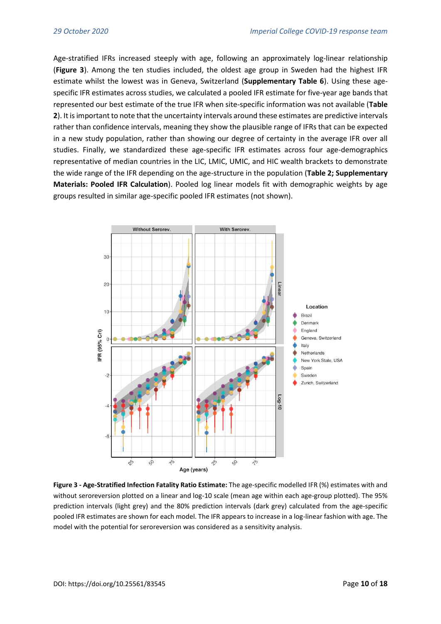Age-stratified IFRs increased steeply with age, following an approximately log-linear relationship (**Figure 3**). Among the ten studies included, the oldest age group in Sweden had the highest IFR estimate whilst the lowest was in Geneva, Switzerland (**Supplementary Table 6**). Using these agespecific IFR estimates across studies, we calculated a pooled IFR estimate for five-year age bands that represented our best estimate of the true IFR when site-specific information was not available (**Table 2**). It is important to note that the uncertainty intervals around these estimates are predictive intervals rather than confidence intervals, meaning they show the plausible range of IFRs that can be expected in a new study population, rather than showing our degree of certainty in the average IFR over all studies. Finally, we standardized these age-specific IFR estimates across four age-demographics representative of median countries in the LIC, LMIC, UMIC, and HIC wealth brackets to demonstrate the wide range of the IFR depending on the age-structure in the population (**Table 2; Supplementary Materials: Pooled IFR Calculation**). Pooled log linear models fit with demographic weights by age groups resulted in similar age-specific pooled IFR estimates (not shown).



**Figure 3 - Age-Stratified Infection Fatality Ratio Estimate:** The age-specific modelled IFR (%) estimates with and without seroreversion plotted on a linear and log-10 scale (mean age within each age-group plotted). The 95% prediction intervals (light grey) and the 80% prediction intervals (dark grey) calculated from the age-specific pooled IFR estimates are shown for each model. The IFR appears to increase in a log-linear fashion with age. The model with the potential for seroreversion was considered as a sensitivity analysis.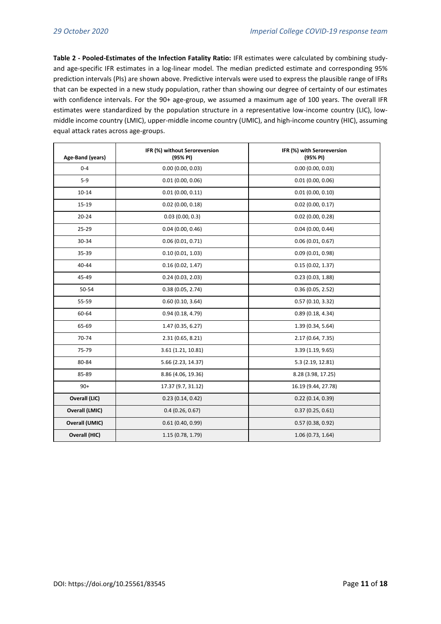**Table 2 - Pooled-Estimates of the Infection Fatality Ratio:** IFR estimates were calculated by combining studyand age-specific IFR estimates in a log-linear model. The median predicted estimate and corresponding 95% prediction intervals (PIs) are shown above. Predictive intervals were used to express the plausible range of IFRs that can be expected in a new study population, rather than showing our degree of certainty of our estimates with confidence intervals. For the 90+ age-group, we assumed a maximum age of 100 years. The overall IFR estimates were standardized by the population structure in a representative low-income country (LIC), lowmiddle income country (LMIC), upper-middle income country (UMIC), and high-income country (HIC), assuming equal attack rates across age-groups.

| Age-Band (years)      | IFR (%) without Seroreversion<br>(95% PI) | IFR (%) with Seroreversion<br>(95% PI) |  |  |  |
|-----------------------|-------------------------------------------|----------------------------------------|--|--|--|
| $0 - 4$               | 0.00(0.00, 0.03)                          | 0.00(0.00, 0.03)                       |  |  |  |
| $5-9$                 | 0.01(0.00, 0.06)                          | 0.01(0.00, 0.06)                       |  |  |  |
| $10 - 14$             | 0.01(0.00, 0.11)                          | 0.01(0.00, 0.10)                       |  |  |  |
| 15-19                 | $0.02$ (0.00, 0.18)                       | $0.02$ (0.00, 0.17)                    |  |  |  |
| $20 - 24$             | 0.03(0.00, 0.3)                           | $0.02$ (0.00, 0.28)                    |  |  |  |
| 25-29                 | 0.04(0.00, 0.46)                          | 0.04(0.00, 0.44)                       |  |  |  |
| 30-34                 | 0.06(0.01, 0.71)                          | 0.06(0.01, 0.67)                       |  |  |  |
| 35-39                 | 0.10(0.01, 1.03)                          | 0.09(0.01, 0.98)                       |  |  |  |
| 40-44                 | 0.16(0.02, 1.47)                          | 0.15(0.02, 1.37)                       |  |  |  |
| 45-49                 | 0.24(0.03, 2.03)                          | 0.23(0.03, 1.88)                       |  |  |  |
| 50-54                 | 0.38(0.05, 2.74)                          | 0.36(0.05, 2.52)                       |  |  |  |
| 55-59                 | 0.60(0.10, 3.64)                          | 0.57(0.10, 3.32)                       |  |  |  |
| 60-64                 | 0.94(0.18, 4.79)                          | 0.89(0.18, 4.34)                       |  |  |  |
| 65-69                 | 1.47 (0.35, 6.27)                         | 1.39 (0.34, 5.64)                      |  |  |  |
| 70-74                 | 2.31(0.65, 8.21)                          | 2.17 (0.64, 7.35)                      |  |  |  |
| 75-79                 | 3.61 (1.21, 10.81)                        | 3.39 (1.19, 9.65)                      |  |  |  |
| 80-84                 | 5.66 (2.23, 14.37)                        | 5.3 (2.19, 12.81)                      |  |  |  |
| 85-89                 | 8.86 (4.06, 19.36)                        | 8.28 (3.98, 17.25)                     |  |  |  |
| $90+$                 | 17.37 (9.7, 31.12)                        | 16.19 (9.44, 27.78)                    |  |  |  |
| Overall (LIC)         | 0.23(0.14, 0.42)                          | 0.22(0.14, 0.39)                       |  |  |  |
| <b>Overall (LMIC)</b> | 0.4(0.26, 0.67)                           | 0.37(0.25, 0.61)                       |  |  |  |
| <b>Overall (UMIC)</b> | 0.61(0.40, 0.99)                          | 0.57(0.38, 0.92)                       |  |  |  |
| Overall (HIC)         | 1.15 (0.78, 1.79)                         | 1.06(0.73, 1.64)                       |  |  |  |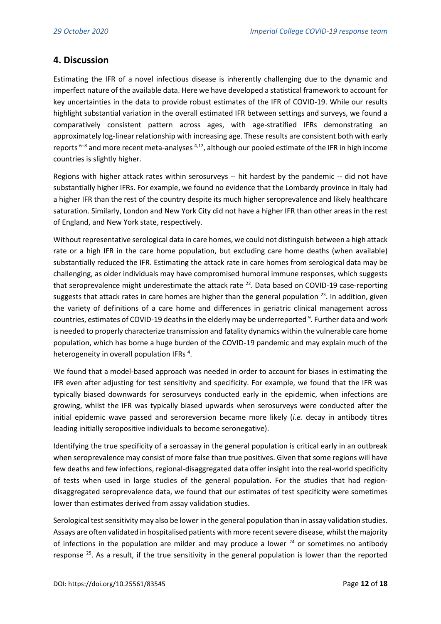### **4. Discussion**

Estimating the IFR of a novel infectious disease is inherently challenging due to the dynamic and imperfect nature of the available data. Here we have developed a statistical framework to account for key uncertainties in the data to provide robust estimates of the IFR of COVID-19. While our results highlight substantial variation in the overall estimated IFR between settings and surveys, we found a comparatively consistent pattern across ages, with age-stratified IFRs demonstrating an approximately log-linear relationship with increasing age. These results are consistent both with early reports<sup>6-8</sup> and more recent meta-analyses <sup>[4,12](https://paperpile.com/c/t3fxW3/JJ6B+WERg)</sup>, although our pooled estimate of the IFR in high income countries is slightly higher.

Regions with higher attack rates within serosurveys -- hit hardest by the pandemic -- did not have substantially higher IFRs. For example, we found no evidence that the Lombardy province in Italy had a higher IFR than the rest of the country despite its much higher seroprevalence and likely healthcare saturation. Similarly, London and New York City did not have a higher IFR than other areas in the rest of England, and New York state, respectively.

Without representative serological data in care homes, we could not distinguish between a high attack rate or a high IFR in the care home population, but excluding care home deaths (when available) substantially reduced the IFR. Estimating the attack rate in care homes from serological data may be challenging, as older individuals may have compromised humoral immune responses, which suggests that seroprevalence might underestimate the attack rate  $^{22}$  $^{22}$  $^{22}$ . Data based on COVID-19 case-reporting suggests that attack rates in care homes are higher than the general population  $^{23}$  $^{23}$  $^{23}$ . In addition, given the variety of definitions of a care home and differences in geriatric clinical management across countries, estimates of COVID-19 deaths in the elderly may be underreporte[d](https://paperpile.com/c/t3fxW3/WRTI) <sup>9</sup>. Further data and work is needed to properly characterize transmission and fatality dynamics within the vulnerable care home population, which has borne a huge burden of the COVID-19 pandemic and may explain much of the heterogeneity in overall population IFRs<sup>4</sup>[.](https://paperpile.com/c/t3fxW3/WERg)

We found that a model-based approach was needed in order to account for biases in estimating the IFR even after adjusting for test sensitivity and specificity. For example, we found that the IFR was typically biased downwards for serosurveys conducted early in the epidemic, when infections are growing, whilst the IFR was typically biased upwards when serosurveys were conducted after the initial epidemic wave passed and seroreversion became more likely (*i.e.* decay in antibody titres leading initially seropositive individuals to become seronegative).

Identifying the true specificity of a seroassay in the general population is critical early in an outbreak when seroprevalence may consist of more false than true positives. Given that some regions will have few deaths and few infections, regional-disaggregated data offer insight into the real-world specificity of tests when used in large studies of the general population. For the studies that had regiondisaggregated seroprevalence data, we found that our estimates of test specificity were sometimes lower than estimates derived from assay validation studies.

Serological test sensitivity may also be lower in the general population than in assay validation studies. Assays are often validated in hospitalised patients with more recent severe disease, whilst the majority of infections in the population are milder and may produce a lower  $24$  or sometimes no antibody response [25](https://paperpile.com/c/t3fxW3/DJK8). As a result, if the true sensitivity in the general population is lower than the reported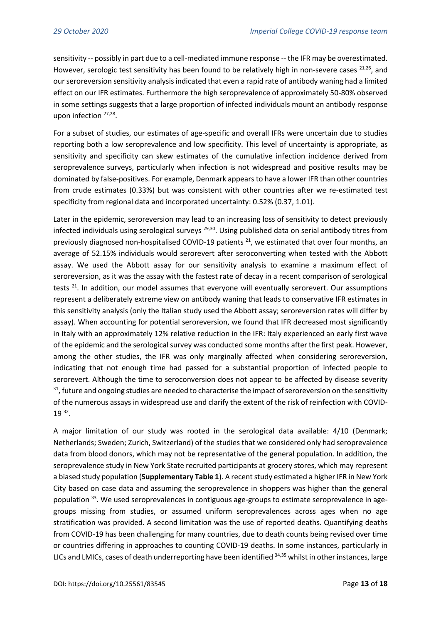sensitivity -- possibly in part due to a cell-mediated immune response -- the IFR may be overestimated. However, serologic test sensitivity has been found to be relatively high in non-severe cases  $21,26$ , and our seroreversion sensitivity analysis indicated that even a rapid rate of antibody waning had a limited effect on our IFR estimates. Furthermore the high seroprevalence of approximately 50-80% observed in some settings suggests that a large proportion of infected individuals mount an antibody response upon infection <sup>[27,28](https://paperpile.com/c/t3fxW3/XWtS+tNN1)</sup>.

For a subset of studies, our estimates of age-specific and overall IFRs were uncertain due to studies reporting both a low seroprevalence and low specificity. This level of uncertainty is appropriate, as sensitivity and specificity can skew estimates of the cumulative infection incidence derived from seroprevalence surveys, particularly when infection is not widespread and positive results may be dominated by false-positives. For example, Denmark appears to have a lower IFR than other countries from crude estimates (0.33%) but was consistent with other countries after we re-estimated test specificity from regional data and incorporated uncertainty: 0.52% (0.37, 1.01).

Later in the epidemic, seroreversion may lead to an increasing loss of sensitivity to detect previously infected individuals using serological surveys  $^{29,30}$  $^{29,30}$  $^{29,30}$ . Using published data on serial antibody titres from previously diagnosed non-hospitalised COVID-19 patients  $^{21}$  $^{21}$  $^{21}$ , we estimated that over four months, an average of 52.15% individuals would serorevert after seroconverting when tested with the Abbott assay. We used the Abbott assay for our sensitivity analysis to examine a maximum effect of seroreversion, as it was the assay with the fastest rate of decay in a recent comparison of serological tests<sup>[21](https://paperpile.com/c/t3fxW3/TtDB)</sup>. In addition, our model assumes that everyone will eventually serorevert. Our assumptions represent a deliberately extreme view on antibody waning that leads to conservative IFR estimates in this sensitivity analysis (only the Italian study used the Abbott assay; seroreversion rates will differ by assay). When accounting for potential seroreversion, we found that IFR decreased most significantly in Italy with an approximately 12% relative reduction in the IFR: Italy experienced an early first wave of the epidemic and the serological survey was conducted some months after the first peak. However, among the other studies, the IFR was only marginally affected when considering seroreversion, indicating that not enough time had passed for a substantial proportion of infected people to serorevert. Although the time to seroconversion does not appear to be affected by disease severity <sup>[31](https://paperpile.com/c/t3fxW3/Hn54N)</sup>, future and ongoing studies are needed to characterise the impact of seroreversion on the sensitivity of the numerous assays in widespread use and clarify the extent of the risk of reinfection with COVID-19 [32](https://paperpile.com/c/t3fxW3/rQbb) .

A major limitation of our study was rooted in the serological data available: 4/10 (Denmark; Netherlands; Sweden; Zurich, Switzerland) of the studies that we considered only had seroprevalence data from blood donors, which may not be representative of the general population. In addition, the seroprevalence study in New York State recruited participants at grocery stores, which may represent a biased study population (**Supplementary Table 1**). A recent study estimated a higher IFR in New York City based on case data and assuming the seroprevalence in shoppers was higher than the general population [33](https://paperpile.com/c/t3fxW3/vY8W). We used seroprevalences in contiguous age-groups to estimate seroprevalence in agegroups missing from studies, or assumed uniform seroprevalences across ages when no age stratification was provided. A second limitation was the use of reported deaths. Quantifying deaths from COVID-19 has been challenging for many countries, due to death counts being revised over time or countries differing in approaches to counting COVID-19 deaths. In some instances, particularly in LICs and LMICs, cases of death underreporting have been identified [34,35](https://paperpile.com/c/t3fxW3/6UdE+zW1q) whilst in other instances, large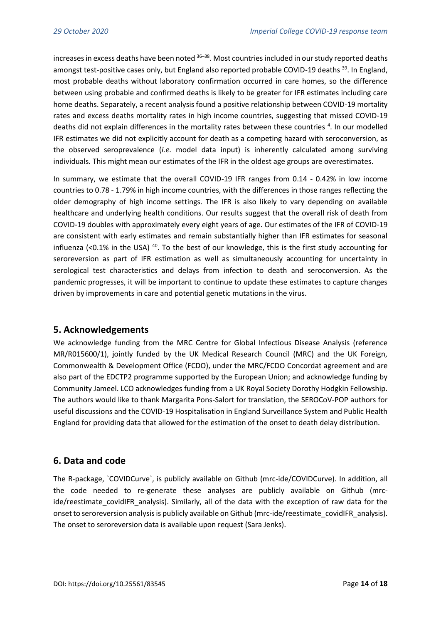increases in excess deaths have been noted  $36-38$  $36-38$ . Most countries included in our study reported deaths amongst test-positive cases only, but England also reported probable COVID-19 deaths <sup>[39](https://paperpile.com/c/t3fxW3/fSxR)</sup>. In England, most probable deaths without laboratory confirmation occurred in care homes, so the difference between using probable and confirmed deaths is likely to be greater for IFR estimates including care home deaths. Separately, a recent analysis found a positive relationship between COVID-19 mortality rates and excess deaths mortality rates in high income countries, suggesting that missed COVID-19 deaths did not explain differences in the mortality rates between these countries <sup>[4](https://paperpile.com/c/t3fxW3/WERg)</sup>. In our modelled IFR estimates we did not explicitly account for death as a competing hazard with seroconversion, as the observed seroprevalence (*i.e.* model data input) is inherently calculated among surviving individuals. This might mean our estimates of the IFR in the oldest age groups are overestimates.

In summary, we estimate that the overall COVID-19 IFR ranges from 0.14 - 0.42% in low income countries to 0.78 - 1.79% in high income countries, with the differences in those ranges reflecting the older demography of high income settings. The IFR is also likely to vary depending on available healthcare and underlying health conditions. Our results suggest that the overall risk of death from COVID-19 doubles with approximately every eight years of age. Our estimates of the IFR of COVID-19 are consistent with early estimates and remain substantially higher than IFR estimates for seasonal influenza (<0.1% in the USA)  $^{40}$  $^{40}$  $^{40}$ . To the best of our knowledge, this is the first study accounting for seroreversion as part of IFR estimation as well as simultaneously accounting for uncertainty in serological test characteristics and delays from infection to death and seroconversion. As the pandemic progresses, it will be important to continue to update these estimates to capture changes driven by improvements in care and potential genetic mutations in the virus.

# **5. Acknowledgements**

We acknowledge funding from the MRC Centre for Global Infectious Disease Analysis (reference MR/R015600/1), jointly funded by the UK Medical Research Council (MRC) and the UK Foreign, Commonwealth & Development Office (FCDO), under the MRC/FCDO Concordat agreement and are also part of the EDCTP2 programme supported by the European Union; and acknowledge funding by Community Jameel. LCO acknowledges funding from a UK Royal Society Dorothy Hodgkin Fellowship. The authors would like to thank Margarita Pons-Salort for translation, the SEROCoV-POP authors for useful discussions and the COVID-19 Hospitalisation in England Surveillance System and Public Health England for providing data that allowed for the estimation of the onset to death delay distribution.

# **6. Data and code**

The R-package, `COVIDCurve`, is publicly available on Github (mrc-ide/COVIDCurve). In addition, all the code needed to re-generate these analyses are publicly available on Github (mrcide/reestimate covidIFR analysis). Similarly, all of the data with the exception of raw data for the onset to seroreversion analysis is publicly available on Github (mrc-ide/reestimate covidIFR analysis). The onset to seroreversion data is available upon request (Sara Jenks).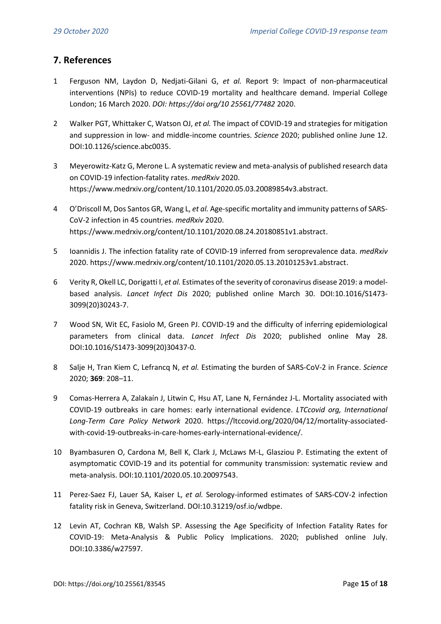# **7. References**

- 1 [Ferguson NM, Laydon D, Nedjati-Gilani G,](http://paperpile.com/b/t3fxW3/6iKw) *[et al.](http://paperpile.com/b/t3fxW3/6iKw)* [Report 9: Impact of non-pharmaceutical](http://paperpile.com/b/t3fxW3/6iKw)  [interventions \(NPIs\) to reduce COVID-19 mortality and healthcare demand. Imperial College](http://paperpile.com/b/t3fxW3/6iKw)  [London; 16 March 2020.](http://paperpile.com/b/t3fxW3/6iKw) *[DOI: https://doi org/10 25561/77482](http://paperpile.com/b/t3fxW3/6iKw)* [2020.](http://paperpile.com/b/t3fxW3/6iKw)
- 2 [Walker PGT, Whittaker C, Watson OJ,](http://paperpile.com/b/t3fxW3/ugVl) *[et al.](http://paperpile.com/b/t3fxW3/ugVl)* [The impact of COVID-19 and strategies for mitigation](http://paperpile.com/b/t3fxW3/ugVl)  and suppression in low- [and middle-income countries.](http://paperpile.com/b/t3fxW3/ugVl) *[Science](http://paperpile.com/b/t3fxW3/ugVl)* [2020; published online June 12.](http://paperpile.com/b/t3fxW3/ugVl)  [DOI:](http://paperpile.com/b/t3fxW3/ugVl)[10.1126/science.abc0035](http://dx.doi.org/10.1126/science.abc0035)[.](http://paperpile.com/b/t3fxW3/ugVl)
- 3 [Meyerowitz-Katz G, Merone L. A systematic review and meta-analysis of published research data](http://paperpile.com/b/t3fxW3/DTOY)  [on COVID-19 infection-fatality rates.](http://paperpile.com/b/t3fxW3/DTOY) *[medRxiv](http://paperpile.com/b/t3fxW3/DTOY)* 2020. <https://www.medrxiv.org/content/10.1101/2020.05.03.20089854v3.abstract>[.](http://paperpile.com/b/t3fxW3/DTOY)
- 4 [O'Driscoll M, Dos Santos GR, Wang L,](http://paperpile.com/b/t3fxW3/WERg) *[et al.](http://paperpile.com/b/t3fxW3/WERg)* [Age-specific mortality and immunity patterns of SARS-](http://paperpile.com/b/t3fxW3/WERg)[CoV-2 infection in 45 countries.](http://paperpile.com/b/t3fxW3/WERg) *[medRxiv](http://paperpile.com/b/t3fxW3/WERg)* [2020.](http://paperpile.com/b/t3fxW3/WERg) <https://www.medrxiv.org/content/10.1101/2020.08.24.20180851v1.abstract>[.](http://paperpile.com/b/t3fxW3/WERg)
- 5 [Ioannidis J. The infection fatality rate of COVID-19 inferred from seroprevalence data.](http://paperpile.com/b/t3fxW3/8R0A) *[medRxiv](http://paperpile.com/b/t3fxW3/8R0A)* [2020.](http://paperpile.com/b/t3fxW3/8R0A) <https://www.medrxiv.org/content/10.1101/2020.05.13.20101253v1.abstract>[.](http://paperpile.com/b/t3fxW3/8R0A)
- 6 [Verity R, Okell LC, Dorigatti I,](http://paperpile.com/b/t3fxW3/ed0M) *[et al.](http://paperpile.com/b/t3fxW3/ed0M)* [Estimates of the severity of coronavirus disease 2019: a model](http://paperpile.com/b/t3fxW3/ed0M)[based analysis.](http://paperpile.com/b/t3fxW3/ed0M) *[Lancet Infect Dis](http://paperpile.com/b/t3fxW3/ed0M)* [2020; published online March 30. DOI:](http://paperpile.com/b/t3fxW3/ed0M)[10.1016/S1473-](http://dx.doi.org/10.1016/S1473-3099(20)30243-7) [3099\(20\)30243-7](http://dx.doi.org/10.1016/S1473-3099(20)30243-7)[.](http://paperpile.com/b/t3fxW3/ed0M)
- 7 [Wood SN, Wit EC, Fasiolo M, Green PJ. COVID-19 and the difficulty of inferring epidemiological](http://paperpile.com/b/t3fxW3/QxuX)  [parameters from clinical data.](http://paperpile.com/b/t3fxW3/QxuX) *[Lancet Infect Dis](http://paperpile.com/b/t3fxW3/QxuX)* [2020; published online May 28.](http://paperpile.com/b/t3fxW3/QxuX)  [DOI:](http://paperpile.com/b/t3fxW3/QxuX)[10.1016/S1473-3099\(20\)30437-0](http://dx.doi.org/10.1016/S1473-3099(20)30437-0)[.](http://paperpile.com/b/t3fxW3/QxuX)
- 8 [Salje H, Tran Kiem C, Lefrancq N,](http://paperpile.com/b/t3fxW3/z64L) *[et al.](http://paperpile.com/b/t3fxW3/z64L)* [Estimating the burden of SARS-CoV-2 in France.](http://paperpile.com/b/t3fxW3/z64L) *[Science](http://paperpile.com/b/t3fxW3/z64L)* [2020;](http://paperpile.com/b/t3fxW3/z64L) **[369](http://paperpile.com/b/t3fxW3/z64L)**[: 208](http://paperpile.com/b/t3fxW3/z64L)–11.
- 9 [Comas-Herrera A, Zalakaín J, Litwin C, Hsu AT, Lane N, Fernández J-L. Mortality associated with](http://paperpile.com/b/t3fxW3/WRTI)  [COVID-19 outbreaks in care homes: early international evidence.](http://paperpile.com/b/t3fxW3/WRTI) *[LTCcovid org, International](http://paperpile.com/b/t3fxW3/WRTI)  [Long-Term Care Policy Network](http://paperpile.com/b/t3fxW3/WRTI)* [2020.](http://paperpile.com/b/t3fxW3/WRTI) [https://ltccovid.org/2020/04/12/mortality-associated](https://ltccovid.org/2020/04/12/mortality-associated-with-covid-19-outbreaks-in-care-homes-early-international-evidence/)[with-covid-19-outbreaks-in-care-homes-early-international-evidence/](https://ltccovid.org/2020/04/12/mortality-associated-with-covid-19-outbreaks-in-care-homes-early-international-evidence/)[.](http://paperpile.com/b/t3fxW3/WRTI)
- 10 [Byambasuren O, Cardona M, Bell K, Clark J, McLaws M-L, Glasziou P. Estimating the extent of](http://paperpile.com/b/t3fxW3/7jFl)  [asymptomatic COVID-19 and its potential for community transmission: systematic review and](http://paperpile.com/b/t3fxW3/7jFl)  [meta-analysis. DOI:](http://paperpile.com/b/t3fxW3/7jFl)[10.1101/2020.05.10.20097543](http://dx.doi.org/10.1101/2020.05.10.20097543)[.](http://paperpile.com/b/t3fxW3/7jFl)
- 11 [Perez-Saez FJ, Lauer SA, Kaiser L,](http://paperpile.com/b/t3fxW3/ivf8) *[et al.](http://paperpile.com/b/t3fxW3/ivf8)* [Serology-informed estimates of SARS-COV-2 infection](http://paperpile.com/b/t3fxW3/ivf8)  [fatality risk in Geneva, Switzerland. DOI:](http://paperpile.com/b/t3fxW3/ivf8)[10.31219/osf.io/wdbpe](http://dx.doi.org/10.31219/osf.io/wdbpe)[.](http://paperpile.com/b/t3fxW3/ivf8)
- 12 [Levin AT, Cochran KB, Walsh SP. Assessing the Age Specificity of Infection Fatality Rates for](http://paperpile.com/b/t3fxW3/JJ6B)  [COVID-19: Meta-Analysis & Public Policy Implications. 2020; published online July.](http://paperpile.com/b/t3fxW3/JJ6B)  [DOI:](http://paperpile.com/b/t3fxW3/JJ6B)[10.3386/w27597](http://dx.doi.org/10.3386/w27597)[.](http://paperpile.com/b/t3fxW3/JJ6B)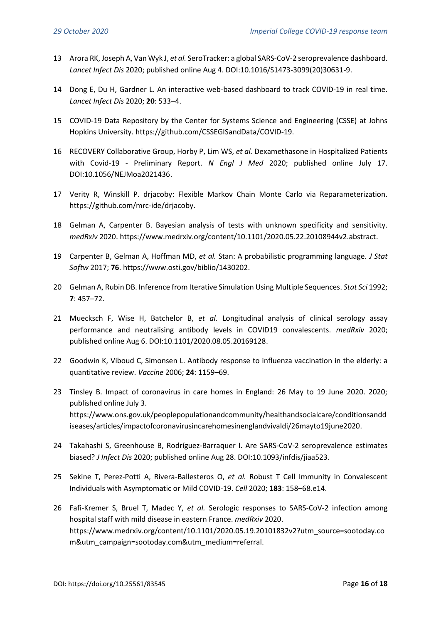- 13 [Arora RK, Joseph A, Van Wyk J,](http://paperpile.com/b/t3fxW3/IgFT) *[et al.](http://paperpile.com/b/t3fxW3/IgFT)* [SeroTracker: a global SARS-CoV-2 seroprevalence dashboard.](http://paperpile.com/b/t3fxW3/IgFT)  *[Lancet Infect Dis](http://paperpile.com/b/t3fxW3/IgFT)* [2020; published online Aug 4. DOI:](http://paperpile.com/b/t3fxW3/IgFT)[10.1016/S1473-3099\(20\)30631-9](http://dx.doi.org/10.1016/S1473-3099(20)30631-9)[.](http://paperpile.com/b/t3fxW3/IgFT)
- 14 [Dong E, Du H, Gardner L. An interactive web-based dashboard to track COVID-19 in real time.](http://paperpile.com/b/t3fxW3/qImp)  *[Lancet Infect Dis](http://paperpile.com/b/t3fxW3/qImp)* [2020;](http://paperpile.com/b/t3fxW3/qImp) **[20](http://paperpile.com/b/t3fxW3/qImp)**[: 533](http://paperpile.com/b/t3fxW3/qImp)–4.
- 15 [COVID-19 Data Repository by the Center for Systems Science and Engineering \(CSSE\) at Johns](http://paperpile.com/b/t3fxW3/4XEL)  [Hopkins University.](http://paperpile.com/b/t3fxW3/4XEL) <https://github.com/CSSEGISandData/COVID-19>[.](http://paperpile.com/b/t3fxW3/4XEL)
- 16 [RECOVERY Collaborative Group, Horby P, Lim WS,](http://paperpile.com/b/t3fxW3/QRXn) *[et al.](http://paperpile.com/b/t3fxW3/QRXn)* [Dexamethasone in Hospitalized Patients](http://paperpile.com/b/t3fxW3/QRXn)  with Covid-19 - [Preliminary Report.](http://paperpile.com/b/t3fxW3/QRXn) *[N Engl J Med](http://paperpile.com/b/t3fxW3/QRXn)* 2020; [published online July 17.](http://paperpile.com/b/t3fxW3/QRXn)  [DOI:](http://paperpile.com/b/t3fxW3/QRXn)[10.1056/NEJMoa2021436](http://dx.doi.org/10.1056/NEJMoa2021436)[.](http://paperpile.com/b/t3fxW3/QRXn)
- 17 [Verity R, Winskill P. drjacoby: Flexible Markov Chain Monte Carlo via Reparameterization.](http://paperpile.com/b/t3fxW3/WarN)  <https://github.com/mrc-ide/drjacoby>[.](http://paperpile.com/b/t3fxW3/WarN)
- 18 [Gelman A, Carpenter B. Bayesian analysis of tests with unknown specificity and sensitivity.](http://paperpile.com/b/t3fxW3/Qpdz)  *[medRxiv](http://paperpile.com/b/t3fxW3/Qpdz)* [2020.](http://paperpile.com/b/t3fxW3/Qpdz) <https://www.medrxiv.org/content/10.1101/2020.05.22.20108944v2.abstract>[.](http://paperpile.com/b/t3fxW3/Qpdz)
- 19 [Carpenter B, Gelman A, Hoffman MD,](http://paperpile.com/b/t3fxW3/7pWz) *[et al.](http://paperpile.com/b/t3fxW3/7pWz)* [Stan: A probabilistic programming language.](http://paperpile.com/b/t3fxW3/7pWz) *[J Stat](http://paperpile.com/b/t3fxW3/7pWz)  [Softw](http://paperpile.com/b/t3fxW3/7pWz)* [2017;](http://paperpile.com/b/t3fxW3/7pWz) **[76](http://paperpile.com/b/t3fxW3/7pWz)**[.](http://paperpile.com/b/t3fxW3/7pWz) <https://www.osti.gov/biblio/1430202>[.](http://paperpile.com/b/t3fxW3/7pWz)
- 20 [Gelman A, Rubin DB. Inference from Iterative Simulation Using Multiple Sequences.](http://paperpile.com/b/t3fxW3/FQAO) *[Stat Sci](http://paperpile.com/b/t3fxW3/FQAO)* [1992;](http://paperpile.com/b/t3fxW3/FQAO)  **[7](http://paperpile.com/b/t3fxW3/FQAO)**[: 457](http://paperpile.com/b/t3fxW3/FQAO)–72.
- 21 [Muecksch F, Wise H, Batchelor B,](http://paperpile.com/b/t3fxW3/TtDB) *[et al.](http://paperpile.com/b/t3fxW3/TtDB)* [Longitudinal analysis of clinical serology assay](http://paperpile.com/b/t3fxW3/TtDB)  [performance and neutralising antibody levels in COVID19 convalescents.](http://paperpile.com/b/t3fxW3/TtDB) *[medRxiv](http://paperpile.com/b/t3fxW3/TtDB)* [2020;](http://paperpile.com/b/t3fxW3/TtDB)  [published online Aug 6. DOI:](http://paperpile.com/b/t3fxW3/TtDB)[10.1101/2020.08.05.20169128](http://dx.doi.org/10.1101/2020.08.05.20169128)[.](http://paperpile.com/b/t3fxW3/TtDB)
- 22 [Goodwin K, Viboud C, Simonsen L. Antibody response to influenza vaccination in the elderly: a](http://paperpile.com/b/t3fxW3/qGbe)  [quantitative review.](http://paperpile.com/b/t3fxW3/qGbe) *[Vaccine](http://paperpile.com/b/t3fxW3/qGbe)* [2006;](http://paperpile.com/b/t3fxW3/qGbe) **[24](http://paperpile.com/b/t3fxW3/qGbe)**[: 1159](http://paperpile.com/b/t3fxW3/qGbe)–69.
- 23 [Tinsley B. Impact of coronavirus in care homes in England: 26 May to 19 June 2020. 2020;](http://paperpile.com/b/t3fxW3/NnKV)  [published online July 3.](http://paperpile.com/b/t3fxW3/NnKV) [https://www.ons.gov.uk/peoplepopulationandcommunity/healthandsocialcare/conditionsandd](https://www.ons.gov.uk/peoplepopulationandcommunity/healthandsocialcare/conditionsanddiseases/articles/impactofcoronavirusincarehomesinenglandvivaldi/26mayto19june2020) [iseases/articles/impactofcoronavirusincarehomesinenglandvivaldi/26mayto19june2020](https://www.ons.gov.uk/peoplepopulationandcommunity/healthandsocialcare/conditionsanddiseases/articles/impactofcoronavirusincarehomesinenglandvivaldi/26mayto19june2020)[.](http://paperpile.com/b/t3fxW3/NnKV)
- 24 [Takahashi S, Greenhouse B, Rodríguez-Barraquer I. Are SARS-CoV-2](http://paperpile.com/b/t3fxW3/wwlt) seroprevalence estimates [biased?](http://paperpile.com/b/t3fxW3/wwlt) *[J Infect Dis](http://paperpile.com/b/t3fxW3/wwlt)* [2020; published online Aug 28. DOI:](http://paperpile.com/b/t3fxW3/wwlt)[10.1093/infdis/jiaa523](http://dx.doi.org/10.1093/infdis/jiaa523)[.](http://paperpile.com/b/t3fxW3/wwlt)
- 25 [Sekine T, Perez-Potti A, Rivera-Ballesteros O,](http://paperpile.com/b/t3fxW3/DJK8) *[et al.](http://paperpile.com/b/t3fxW3/DJK8)* [Robust T Cell Immunity in Convalescent](http://paperpile.com/b/t3fxW3/DJK8)  [Individuals with Asymptomatic or Mild COVID-19.](http://paperpile.com/b/t3fxW3/DJK8) *[Cell](http://paperpile.com/b/t3fxW3/DJK8)* [2020;](http://paperpile.com/b/t3fxW3/DJK8) **[183](http://paperpile.com/b/t3fxW3/DJK8)**: 158–[68.e14.](http://paperpile.com/b/t3fxW3/DJK8)
- 26 [Fafi-Kremer S, Bruel T, Madec Y,](http://paperpile.com/b/t3fxW3/eFlCG) *[et al.](http://paperpile.com/b/t3fxW3/eFlCG)* [Serologic responses to SARS-CoV-2 infection among](http://paperpile.com/b/t3fxW3/eFlCG)  hospital staff with mild [disease in eastern France.](http://paperpile.com/b/t3fxW3/eFlCG) *[medRxiv](http://paperpile.com/b/t3fxW3/eFlCG)* [2020.](http://paperpile.com/b/t3fxW3/eFlCG) [https://www.medrxiv.org/content/10.1101/2020.05.19.20101832v2?utm\\_source=sootoday.co](https://www.medrxiv.org/content/10.1101/2020.05.19.20101832v2?utm_source=sootoday.com&utm_campaign=sootoday.com&utm_medium=referral) [m&utm\\_campaign=sootoday.com&utm\\_medium=referral](https://www.medrxiv.org/content/10.1101/2020.05.19.20101832v2?utm_source=sootoday.com&utm_campaign=sootoday.com&utm_medium=referral)[.](http://paperpile.com/b/t3fxW3/eFlCG)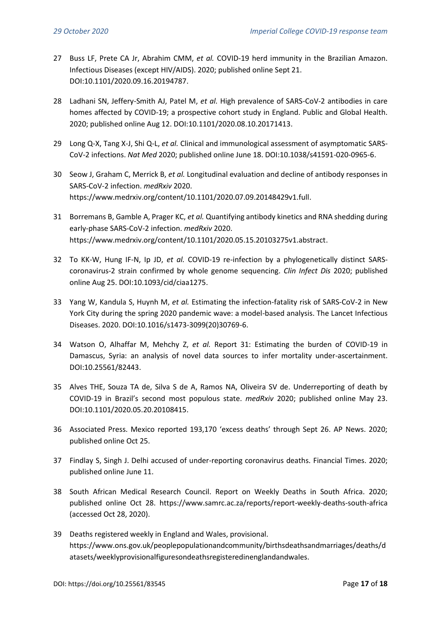- 27 [Buss LF, Prete CA Jr, Abrahim CMM,](http://paperpile.com/b/t3fxW3/XWtS) *[et al.](http://paperpile.com/b/t3fxW3/XWtS)* [COVID-19 herd immunity in the Brazilian Amazon.](http://paperpile.com/b/t3fxW3/XWtS)  [Infectious Diseases \(except HIV/AIDS\). 2020; published online Sept 21.](http://paperpile.com/b/t3fxW3/XWtS) [DOI:](http://paperpile.com/b/t3fxW3/XWtS)[10.1101/2020.09.16.20194787](http://dx.doi.org/10.1101/2020.09.16.20194787)[.](http://paperpile.com/b/t3fxW3/XWtS)
- 28 [Ladhani SN, Jeffery-Smith AJ, Patel M,](http://paperpile.com/b/t3fxW3/tNN1) *[et al.](http://paperpile.com/b/t3fxW3/tNN1)* [High prevalence of SARS-CoV-2](http://paperpile.com/b/t3fxW3/tNN1) antibodies in care [homes affected by COVID-19; a prospective cohort study in England. Public and Global Health.](http://paperpile.com/b/t3fxW3/tNN1)  [2020; published online Aug 12. DOI:](http://paperpile.com/b/t3fxW3/tNN1)[10.1101/2020.08.10.20171413](http://dx.doi.org/10.1101/2020.08.10.20171413)[.](http://paperpile.com/b/t3fxW3/tNN1)
- 29 [Long Q-X, Tang X-J, Shi Q-L,](http://paperpile.com/b/t3fxW3/ukknY) *[et al.](http://paperpile.com/b/t3fxW3/ukknY)* Clinical and [immunological assessment of asymptomatic SARS-](http://paperpile.com/b/t3fxW3/ukknY)[CoV-2 infections.](http://paperpile.com/b/t3fxW3/ukknY) *[Nat Med](http://paperpile.com/b/t3fxW3/ukknY)* [2020; published online June 18. DOI:](http://paperpile.com/b/t3fxW3/ukknY)[10.1038/s41591-020-0965-6](http://dx.doi.org/10.1038/s41591-020-0965-6)[.](http://paperpile.com/b/t3fxW3/ukknY)
- 30 [Seow J, Graham C, Merrick B,](http://paperpile.com/b/t3fxW3/T3oRI) *[et al.](http://paperpile.com/b/t3fxW3/T3oRI)* [Longitudinal evaluation and decline of antibody responses in](http://paperpile.com/b/t3fxW3/T3oRI)  [SARS-CoV-2 infection.](http://paperpile.com/b/t3fxW3/T3oRI) *[medRxiv](http://paperpile.com/b/t3fxW3/T3oRI)* [2020.](http://paperpile.com/b/t3fxW3/T3oRI) <https://www.medrxiv.org/content/10.1101/2020.07.09.20148429v1.full>[.](http://paperpile.com/b/t3fxW3/T3oRI)
- 31 [Borremans B, Gamble A, Prager KC,](http://paperpile.com/b/t3fxW3/Hn54N) *[et al.](http://paperpile.com/b/t3fxW3/Hn54N)* [Quantifying antibody kinetics and RNA shedding during](http://paperpile.com/b/t3fxW3/Hn54N)  [early-phase SARS-CoV-2 infection.](http://paperpile.com/b/t3fxW3/Hn54N) *[medRxiv](http://paperpile.com/b/t3fxW3/Hn54N)* 2020. <https://www.medrxiv.org/content/10.1101/2020.05.15.20103275v1.abstract>[.](http://paperpile.com/b/t3fxW3/Hn54N)
- 32 [To KK-W, Hung IF-N, Ip JD,](http://paperpile.com/b/t3fxW3/rQbb) *[et al.](http://paperpile.com/b/t3fxW3/rQbb)* [COVID-19 re-infection by a phylogenetically distinct SARS](http://paperpile.com/b/t3fxW3/rQbb)[coronavirus-2 strain confirmed by whole genome sequencing.](http://paperpile.com/b/t3fxW3/rQbb) *[Clin Infect Dis](http://paperpile.com/b/t3fxW3/rQbb)* [2020; published](http://paperpile.com/b/t3fxW3/rQbb)  [online Aug 25. DOI:](http://paperpile.com/b/t3fxW3/rQbb)[10.1093/cid/ciaa1275](http://dx.doi.org/10.1093/cid/ciaa1275)[.](http://paperpile.com/b/t3fxW3/rQbb)
- 33 [Yang W, Kandula S, Huynh M,](http://paperpile.com/b/t3fxW3/vY8W) *[et al.](http://paperpile.com/b/t3fxW3/vY8W)* [Estimating the infection-fatality risk of SARS-CoV-2 in New](http://paperpile.com/b/t3fxW3/vY8W)  [York City during the spring 2020 pandemic wave: a model-based analysis. The Lancet Infectious](http://paperpile.com/b/t3fxW3/vY8W)  [Diseases. 2020. DOI:](http://paperpile.com/b/t3fxW3/vY8W)[10.1016/s1473-3099\(20\)30769-6](http://dx.doi.org/10.1016/s1473-3099(20)30769-6)[.](http://paperpile.com/b/t3fxW3/vY8W)
- 34 [Watson O, Alhaffar M, Mehchy Z,](http://paperpile.com/b/t3fxW3/6UdE) *[et al.](http://paperpile.com/b/t3fxW3/6UdE)* [Report 31: Estimating the burden of COVID-19 in](http://paperpile.com/b/t3fxW3/6UdE)  [Damascus, Syria: an analysis of novel data sources to infer mortality under-ascertainment.](http://paperpile.com/b/t3fxW3/6UdE)  [DOI:](http://paperpile.com/b/t3fxW3/6UdE)[10.25561/82443](http://dx.doi.org/10.25561/82443)[.](http://paperpile.com/b/t3fxW3/6UdE)
- 35 [Alves THE, Souza TA de, Silva S de A, Ramos NA, Oliveira SV de. Underreporting of death by](http://paperpile.com/b/t3fxW3/zW1q)  COVID-19 in Brazil's seco[nd most populous state.](http://paperpile.com/b/t3fxW3/zW1q) *[medRxiv](http://paperpile.com/b/t3fxW3/zW1q)* [2020; published online May 23.](http://paperpile.com/b/t3fxW3/zW1q)  [DOI:](http://paperpile.com/b/t3fxW3/zW1q)[10.1101/2020.05.20.20108415](http://dx.doi.org/10.1101/2020.05.20.20108415)[.](http://paperpile.com/b/t3fxW3/zW1q)
- 36 [Associated Press. Mexico reported 193,170 'excess deaths' through Sept 26. AP News. 2020;](http://paperpile.com/b/t3fxW3/O39M)  [published online Oct 25.](http://paperpile.com/b/t3fxW3/O39M)
- 37 [Findlay S, Singh J. Delhi accused of under-reporting coronavirus deaths. Financial Times. 2020;](http://paperpile.com/b/t3fxW3/r9xf)  [published online June 11.](http://paperpile.com/b/t3fxW3/r9xf)
- 38 [South African Medical Research Council. Report on Weekly Deaths in South Africa. 2020;](http://paperpile.com/b/t3fxW3/063h)  [published online Oct 28.](http://paperpile.com/b/t3fxW3/063h) <https://www.samrc.ac.za/reports/report-weekly-deaths-south-africa> [\(accessed Oct 28, 2020\).](http://paperpile.com/b/t3fxW3/063h)
- 39 [Deaths registered weekly in England and Wales, provisional.](http://paperpile.com/b/t3fxW3/fSxR) [https://www.ons.gov.uk/peoplepopulationandcommunity/birthsdeathsandmarriages/deaths/d](https://www.ons.gov.uk/peoplepopulationandcommunity/birthsdeathsandmarriages/deaths/datasets/weeklyprovisionalfiguresondeathsregisteredinenglandandwales) [atasets/weeklyprovisionalfiguresondeathsregisteredinenglandandwales](https://www.ons.gov.uk/peoplepopulationandcommunity/birthsdeathsandmarriages/deaths/datasets/weeklyprovisionalfiguresondeathsregisteredinenglandandwales)[.](http://paperpile.com/b/t3fxW3/fSxR)